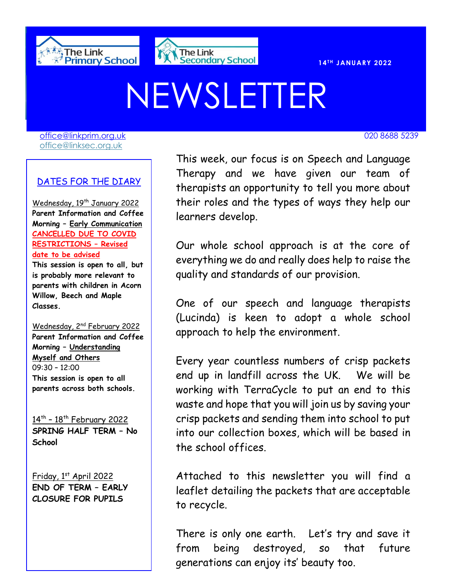



# NEWSLETTER

[office@linkprim.org.uk](mailto:office@linkprim.org.uk) 020 8688 5239 office@linksec.org.uk

#### DATES FOR THE DIARY

Wednesday, 19<sup>th</sup> January 2022 **Parent Information and Coffee Morning – Early Communication CANCELLED DUE TO COVID RESTRICTIONS – Revised date to be advised**

**This session is open to all, but is probably more relevant to parents with children in Acorn Willow, Beech and Maple Classes.**

Wednesday, 2nd February 2022 **Parent Information and Coffee Morning – Understanding Myself and Others**  09:30 – 12:00 **This session is open to all parents across both schools.**

<u>14th - 18th February 2022</u> **SPRING HALF TERM – No School**

Friday, 1st April 2022 **END OF TERM – EARLY CLOSURE FOR PUPILS**

 Therapy and we have given our team of This week, our focus is on Speech and Language therapists an opportunity to tell you more about their roles and the types of ways they help our learners develop.

> Our whole school approach is at the core of everything we do and really does help to raise the quality and standards of our provision.

> One of our speech and language therapists (Lucinda) is keen to adopt a whole school approach to help the environment.

> Every year countless numbers of crisp packets end up in landfill across the UK. We will be working with TerraCycle to put an end to this waste and hope that you will join us by saving your crisp packets and sending them into school to put into our collection boxes, which will be based in the school offices.

> Attached to this newsletter you will find a leaflet detailing the packets that are acceptable to recycle.

> There is only one earth. Let's try and save it from being destroyed, so that future generations can enjoy its' beauty too.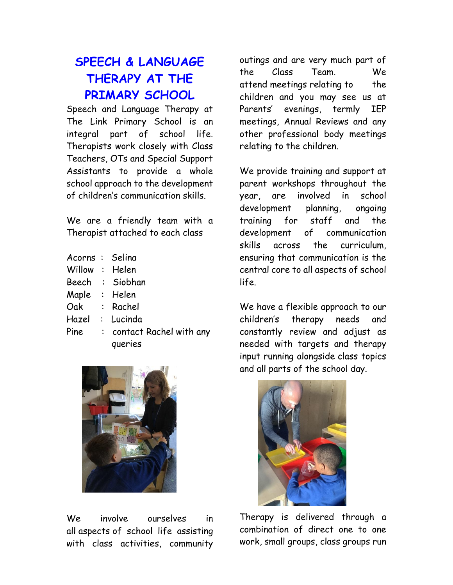# **SPEECH & LANGUAGE THERAPY AT THE PRIMARY SCHOOL**

Speech and Language Therapy at The Link Primary School is an integral part of school life. Therapists work closely with Class Teachers, OTs and Special Support Assistants to provide a whole school approach to the development of children's communication skills.

We are a friendly team with a Therapist attached to each class

| Acorns : Selina |                           |
|-----------------|---------------------------|
| Willow : Helen  |                           |
|                 | Beech : Siobhan           |
| Maple : Helen   |                           |
|                 | Oak : Rachel              |
|                 | Hazel : Lucinda           |
| Pine            | : contact Rachel with any |
|                 | queries                   |

We involve ourselves in all aspects of school life assisting with class activities, community

outings and are very much part of the Class Team. We attend meetings relating to the children and you may see us at Parents' evenings, termly IEP meetings, Annual Reviews and any other professional body meetings relating to the children.

We provide training and support at parent workshops throughout the year, are involved in school development planning, ongoing training for staff and the development of communication skills across the curriculum, ensuring that communication is the central core to all aspects of school life.

We have a flexible approach to our children's therapy needs and constantly review and adjust as needed with targets and therapy input running alongside class topics and all parts of the school day.



Therapy is delivered through a combination of direct one to one work, small groups, class groups run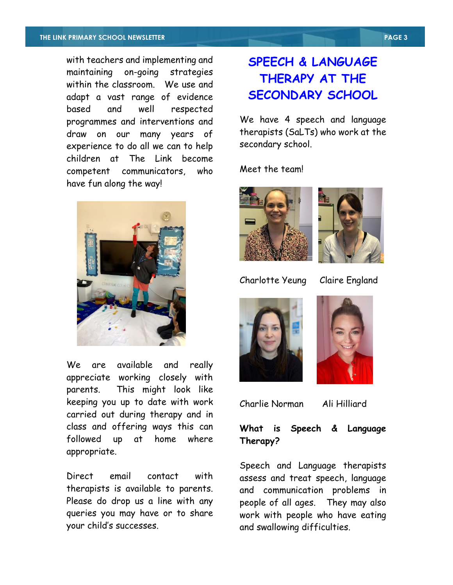with teachers and implementing and maintaining on-going strategies within the classroom. We use and adapt a vast range of evidence based and well respected programmes and interventions and draw on our many years of experience to do all we can to help children at The Link become competent communicators, who have fun along the way!



We are available and really appreciate working closely with parents. This might look like keeping you up to date with work carried out during therapy and in class and offering ways this can followed up at home where appropriate.

Direct email contact with therapists is available to parents. Please do drop us a line with any queries you may have or to share your child's successes.

# **SPEECH & LANGUAGE THERAPY AT THE SECONDARY SCHOOL**

We have 4 speech and language therapists (SaLTs) who work at the secondary school.

Meet the team!





Charlotte Yeung Claire England





Charlie Norman Ali Hilliard

#### **What is Speech & Language Therapy?**

Speech and Language therapists assess and treat speech, language and communication problems in people of all ages. They may also work with people who have eating and swallowing difficulties.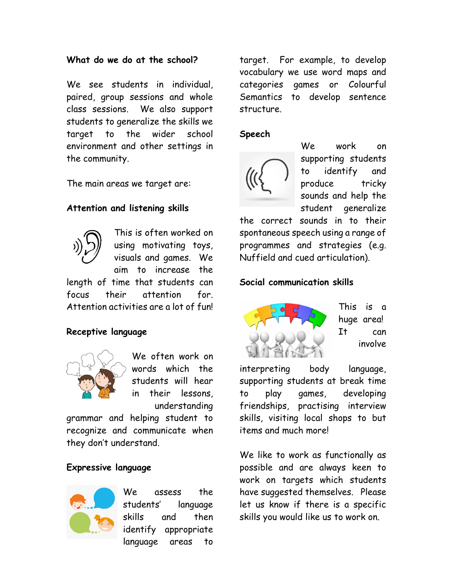#### **What do we do at the school?**

We see students in individual, paired, group sessions and whole class sessions. We also support students to generalize the skills we target to the wider school environment and other settings in the community.

The main areas we target are:

#### **Attention and listening skills**



This is often worked on using motivating toys, visuals and games. We aim to increase the

length of time that students can focus their attention for. Attention activities are a lot of fun!

#### **Receptive language**



We often work on words which the students will hear in their lessons, understanding

grammar and helping student to recognize and communicate when they don't understand.

#### **Expressive language**



We assess the students' language skills and then identify appropriate language areas to

target. For example, to develop vocabulary we use word maps and categories games or Colourful Semantics to develop sentence structure.

#### **Speech**



We work on supporting students to identify and produce tricky sounds and help the student generalize

the correct sounds in to their spontaneous speech using a range of programmes and strategies (e.g. Nuffield and cued articulation).

#### **Social communication skills**



This is a huge area! It can involve

interpreting body language, supporting students at break time to play games, developing friendships, practising interview skills, visiting local shops to but items and much more!

We like to work as functionally as possible and are always keen to work on targets which students have suggested themselves. Please let us know if there is a specific skills you would like us to work on.